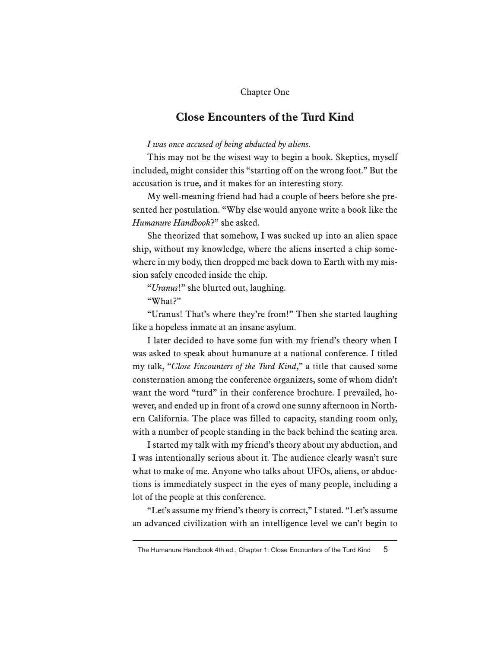## Chapter One

## **Close Encounters of the Turd Kind**

## *I was once accused of being abducted by aliens.*

 This may not be the wisest way to begin a book. Skeptics, myself included, might consider this "starting off on the wrong foot." But the accusation is true, and it makes for an interesting story.

 My well-meaning friend had had a couple of beers before she presented her postulation. "Why else would anyone write a book like the *Humanure Handbook*?" she asked.

 She theorized that somehow, I was sucked up into an alien space ship, without my knowledge, where the aliens inserted a chip somewhere in my body, then dropped me back down to Earth with my mission safely encoded inside the chip.

"*Uranus*!" she blurted out, laughing.

"What?"

 "Uranus! That's where they're from!" Then she started laughing like a hopeless inmate at an insane asylum.

 I later decided to have some fun with my friend's theory when I was asked to speak about humanure at a national conference. I titled my talk, "*Close Encounters of the Turd Kind*," a title that caused some consternation among the conference organizers, some of whom didn't want the word "turd" in their conference brochure. I prevailed, however, and ended up in front of a crowd one sunny afternoon in Northern California. The place was filled to capacity, standing room only, with a number of people standing in the back behind the seating area.

 I started my talk with my friend's theory about my abduction, and I was intentionally serious about it. The audience clearly wasn't sure what to make of me. Anyone who talks about UFOs, aliens, or abductions is immediately suspect in the eyes of many people, including a lot of the people at this conference.

 "Let's assume my friend's theory is correct," I stated. "Let's assume an advanced civilization with an intelligence level we can't begin to

The Humanure Handbook 4th ed., Chapter 1: Close Encounters of the Turd Kind  $5$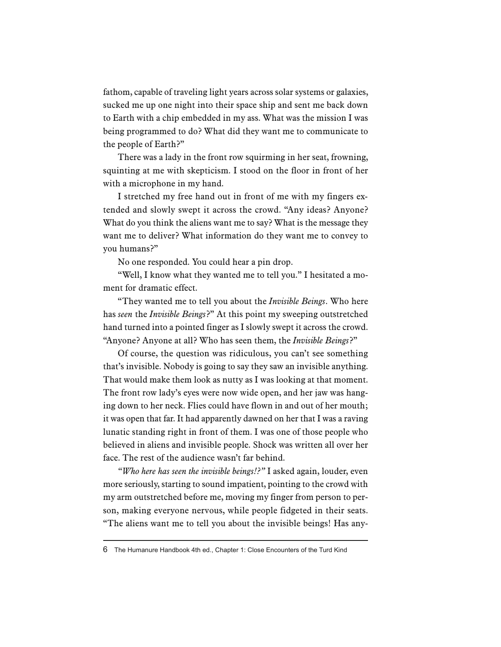fathom, capable of traveling light years across solar systems or galaxies, sucked me up one night into their space ship and sent me back down to Earth with a chip embedded in my ass. What was the mission I was being programmed to do? What did they want me to communicate to the people of Earth?"

 There was a lady in the front row squirming in her seat, frowning, squinting at me with skepticism. I stood on the floor in front of her with a microphone in my hand.

 I stretched my free hand out in front of me with my fingers extended and slowly swept it across the crowd. "Any ideas? Anyone? What do you think the aliens want me to say? What is the message they want me to deliver? What information do they want me to convey to you humans?"

No one responded. You could hear a pin drop.

 "Well, I know what they wanted me to tell you." I hesitated a moment for dramatic effect.

 "They wanted me to tell you about the *Invisible Beings*. Who here has *seen* the *Invisible Beings*?" At this point my sweeping outstretched hand turned into a pointed finger as I slowly swept it across the crowd. "Anyone? Anyone at all? Who has seen them, the *Invisible Beings*?"

 Of course, the question was ridiculous, you can't see something that's invisible. Nobody is going to say they saw an invisible anything. That would make them look as nutty as I was looking at that moment. The front row lady's eyes were now wide open, and her jaw was hanging down to her neck. Flies could have flown in and out of her mouth; it was open that far. It had apparently dawned on her that I was a raving lunatic standing right in front of them. I was one of those people who believed in aliens and invisible people. Shock was written all over her face. The rest of the audience wasn't far behind.

 *"Who here has seen the invisible beings!?"* I asked again, louder, even more seriously, starting to sound impatient, pointing to the crowd with my arm outstretched before me, moving my finger from person to person, making everyone nervous, while people fidgeted in their seats. "The aliens want me to tell you about the invisible beings! Has any-

6 The Humanure Handbook 4th ed., Chapter 1: Close Encounters of the Turd Kind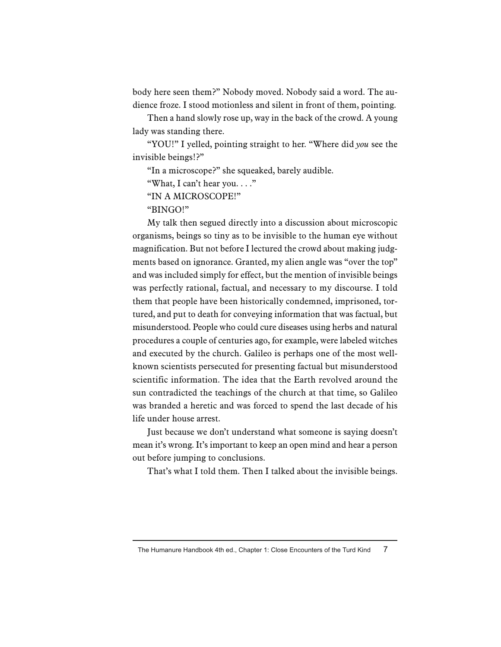body here seen them?" Nobody moved. Nobody said a word. The audience froze. I stood motionless and silent in front of them, pointing.

 Then a hand slowly rose up, way in the back of the crowd. A young lady was standing there.

 "YOU!" I yelled, pointing straight to her. "Where did *you* see the invisible beings!?"

"In a microscope?" she squeaked, barely audible.

"What, I can't hear you. . . ."

"IN A MICROSCOPE!"

"BINGO!"

 My talk then segued directly into a discussion about microscopic organisms, beings so tiny as to be invisible to the human eye without magnification. But not before I lectured the crowd about making judgments based on ignorance. Granted, my alien angle was "over the top" and was included simply for effect, but the mention of invisible beings was perfectly rational, factual, and necessary to my discourse. I told them that people have been historically condemned, imprisoned, tortured, and put to death for conveying information that was factual, but misunderstood. People who could cure diseases using herbs and natural procedures a couple of centuries ago, for example, were labeled witches and executed by the church. Galileo is perhaps one of the most wellknown scientists persecuted for presenting factual but misunderstood scientific information. The idea that the Earth revolved around the sun contradicted the teachings of the church at that time, so Galileo was branded a heretic and was forced to spend the last decade of his life under house arrest.

 Just because we don't understand what someone is saying doesn't mean it's wrong. It's important to keep an open mind and hear a person out before jumping to conclusions.

That's what I told them. Then I talked about the invisible beings.

The Humanure Handbook 4th ed., Chapter 1: Close Encounters of the Turd Kind 7